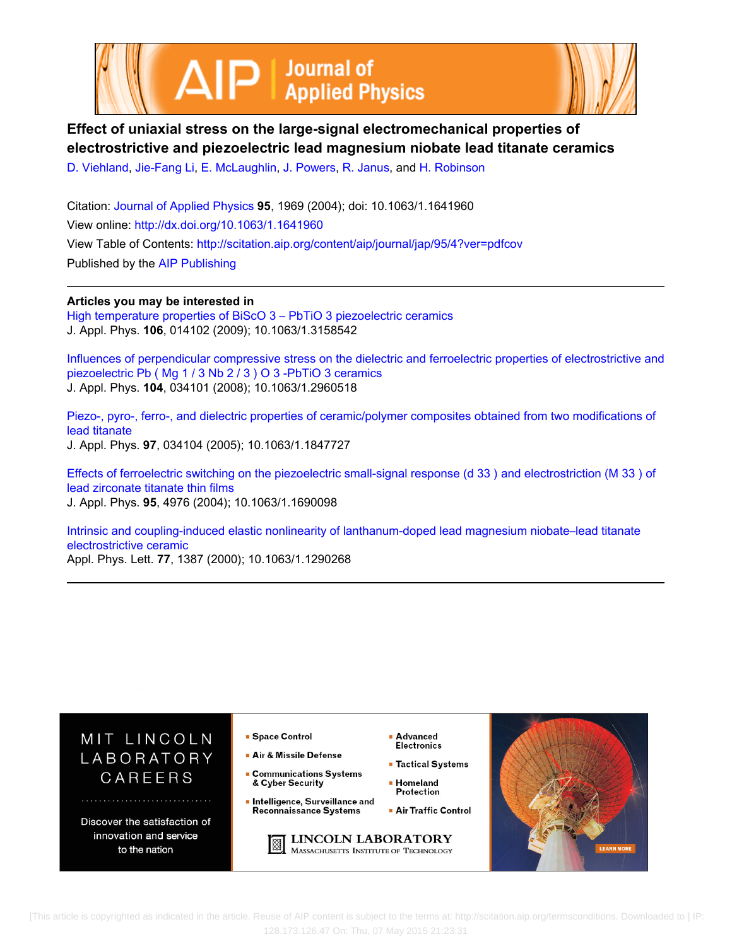



# **Effect of uniaxial stress on the large-signal electromechanical properties of electrostrictive and piezoelectric lead magnesium niobate lead titanate ceramics**

[D. Viehland,](http://scitation.aip.org/search?value1=D.+Viehland&option1=author) [Jie-Fang Li,](http://scitation.aip.org/search?value1=Jie-Fang+Li&option1=author) [E. McLaughlin,](http://scitation.aip.org/search?value1=E.+McLaughlin&option1=author) [J. Powers,](http://scitation.aip.org/search?value1=J.+Powers&option1=author) [R. Janus,](http://scitation.aip.org/search?value1=R.+Janus&option1=author) and [H. Robinson](http://scitation.aip.org/search?value1=H.+Robinson&option1=author)

Citation: [Journal of Applied Physics](http://scitation.aip.org/content/aip/journal/jap?ver=pdfcov) **95**, 1969 (2004); doi: 10.1063/1.1641960 View online: <http://dx.doi.org/10.1063/1.1641960> View Table of Contents: <http://scitation.aip.org/content/aip/journal/jap/95/4?ver=pdfcov> Published by the [AIP Publishing](http://scitation.aip.org/content/aip?ver=pdfcov)

**Articles you may be interested in**

[High temperature properties of BiScO 3 – PbTiO 3 piezoelectric ceramics](http://scitation.aip.org/content/aip/journal/jap/106/1/10.1063/1.3158542?ver=pdfcov) J. Appl. Phys. **106**, 014102 (2009); 10.1063/1.3158542

[Influences of perpendicular compressive stress on the dielectric and ferroelectric properties of electrostrictive and](http://scitation.aip.org/content/aip/journal/jap/104/3/10.1063/1.2960518?ver=pdfcov) [piezoelectric Pb \( Mg 1 / 3 Nb 2 / 3 \) O 3 -PbTiO 3 ceramics](http://scitation.aip.org/content/aip/journal/jap/104/3/10.1063/1.2960518?ver=pdfcov) J. Appl. Phys. **104**, 034101 (2008); 10.1063/1.2960518

[Piezo-, pyro-, ferro-, and dielectric properties of ceramic/polymer composites obtained from two modifications of](http://scitation.aip.org/content/aip/journal/jap/97/3/10.1063/1.1847727?ver=pdfcov) [lead titanate](http://scitation.aip.org/content/aip/journal/jap/97/3/10.1063/1.1847727?ver=pdfcov) J. Appl. Phys. **97**, 034104 (2005); 10.1063/1.1847727

[Effects of ferroelectric switching on the piezoelectric small-signal response \(d 33 \) and electrostriction \(M 33 \) of](http://scitation.aip.org/content/aip/journal/jap/95/9/10.1063/1.1690098?ver=pdfcov) [lead zirconate titanate thin films](http://scitation.aip.org/content/aip/journal/jap/95/9/10.1063/1.1690098?ver=pdfcov) J. Appl. Phys. **95**, 4976 (2004); 10.1063/1.1690098

[Intrinsic and coupling-induced elastic nonlinearity of lanthanum-doped lead magnesium niobate–lead titanate](http://scitation.aip.org/content/aip/journal/apl/77/9/10.1063/1.1290268?ver=pdfcov) [electrostrictive ceramic](http://scitation.aip.org/content/aip/journal/apl/77/9/10.1063/1.1290268?ver=pdfcov) Appl. Phys. Lett. **77**, 1387 (2000); 10.1063/1.1290268



 [This article is copyrighted as indicated in the article. Reuse of AIP content is subject to the terms at: http://scitation.aip.org/termsconditions. Downloaded to ] IP: 128.173.126.47 On: Thu, 07 May 2015 21:23:31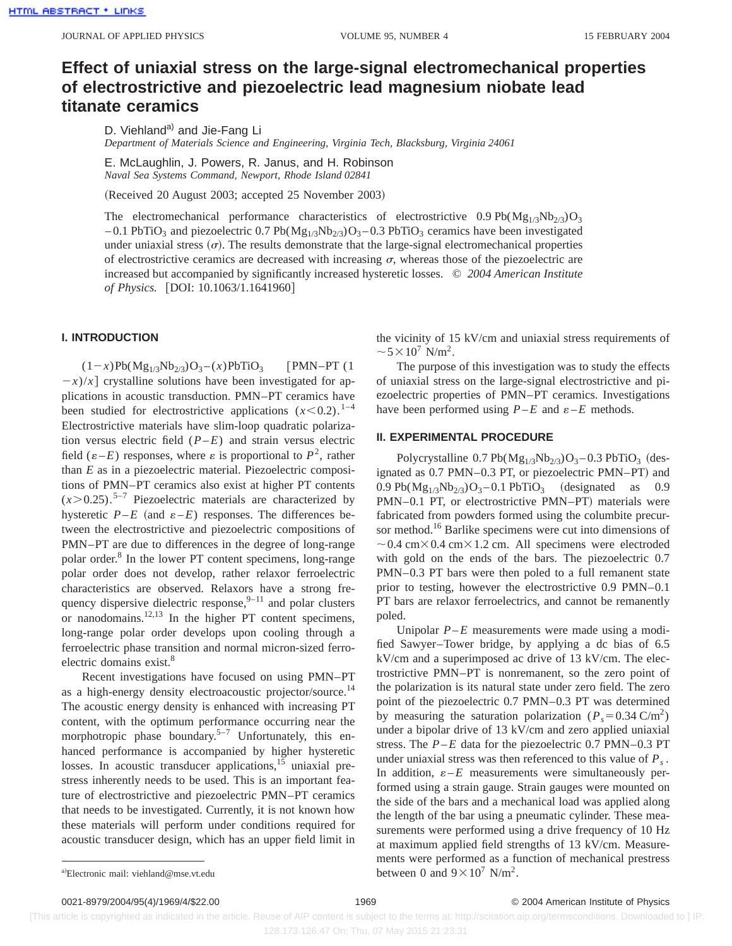## **Effect of uniaxial stress on the large-signal electromechanical properties of electrostrictive and piezoelectric lead magnesium niobate lead titanate ceramics**

D. Viehland<sup>a)</sup> and Jie-Fang Li

*Department of Materials Science and Engineering, Virginia Tech, Blacksburg, Virginia 24061*

E. McLaughlin, J. Powers, R. Janus, and H. Robinson *Naval Sea Systems Command, Newport, Rhode Island 02841*

(Received 20 August 2003; accepted 25 November 2003)

The electromechanical performance characteristics of electrostrictive  $0.9 \text{ Pb}(Mg_{1/3}Nb_{2/3})O_3$  $-0.1$  PbTiO<sub>3</sub> and piezoelectric 0.7 Pb( $Mg_{1/3}Nb_{2/3}O_3-0.3$  PbTiO<sub>3</sub> ceramics have been investigated under uniaxial stress  $(\sigma)$ . The results demonstrate that the large-signal electromechanical properties of electrostrictive ceramics are decreased with increasing  $\sigma$ , whereas those of the piezoelectric are increased but accompanied by significantly increased hysteretic losses. © *2004 American Institute of Physics.* [DOI: 10.1063/1.1641960]

## **I. INTRODUCTION**

 $(1-x)Pb(Mg_{1/3}Nb_{2/3})O_3 - (x)PbTiO_3$  [PMN–PT (1)  $(x - x)/x$  crystalline solutions have been investigated for applications in acoustic transduction. PMN–PT ceramics have been studied for electrostrictive applications  $(x<0.2)$ .<sup>1–4</sup> Electrostrictive materials have slim-loop quadratic polarization versus electric field (*P*–*E*) and strain versus electric field  $(\varepsilon-E)$  responses, where  $\varepsilon$  is proportional to  $P^2$ , rather than *E* as in a piezoelectric material. Piezoelectric compositions of PMN–PT ceramics also exist at higher PT contents  $(x>0.25)$ .<sup>5–7</sup> Piezoelectric materials are characterized by hysteretic  $P-E$  (and  $\varepsilon-E$ ) responses. The differences between the electrostrictive and piezoelectric compositions of PMN–PT are due to differences in the degree of long-range polar order.8 In the lower PT content specimens, long-range polar order does not develop, rather relaxor ferroelectric characteristics are observed. Relaxors have a strong frequency dispersive dielectric response,  $9-11$  and polar clusters or nanodomains.<sup>12,13</sup> In the higher PT content specimens, long-range polar order develops upon cooling through a ferroelectric phase transition and normal micron-sized ferroelectric domains exist.<sup>8</sup>

Recent investigations have focused on using PMN–PT as a high-energy density electroacoustic projector/source.<sup>14</sup> The acoustic energy density is enhanced with increasing PT content, with the optimum performance occurring near the morphotropic phase boundary.<sup>5–7</sup> Unfortunately, this enhanced performance is accompanied by higher hysteretic losses. In acoustic transducer applications,<sup>15</sup> uniaxial prestress inherently needs to be used. This is an important feature of electrostrictive and piezoelectric PMN–PT ceramics that needs to be investigated. Currently, it is not known how these materials will perform under conditions required for acoustic transducer design, which has an upper field limit in the vicinity of 15 kV/cm and uniaxial stress requirements of  $\sim$  5  $\times$  10<sup>7</sup> N/m<sup>2</sup>.

The purpose of this investigation was to study the effects of uniaxial stress on the large-signal electrostrictive and piezoelectric properties of PMN–PT ceramics. Investigations have been performed using  $P$ –*E* and  $\varepsilon$ –*E* methods.

#### **II. EXPERIMENTAL PROCEDURE**

Polycrystalline  $0.7 \text{Pb}(Mg_{1/3}Nb_{2/3})O_3 - 0.3 \text{PbTiO}_3$  (designated as 0.7 PMN–0.3 PT, or piezoelectric PMN–PT) and 0.9 Pb( $Mg_{1/3}Nb_{2/3}O_3 - 0.1$  PbTiO<sub>3</sub> (designated as 0.9 PMN–0.1 PT, or electrostrictive PMN–PT) materials were fabricated from powders formed using the columbite precursor method.<sup>16</sup> Barlike specimens were cut into dimensions of  $\sim$  0.4 cm $\times$  0.4 cm $\times$  1.2 cm. All specimens were electroded with gold on the ends of the bars. The piezoelectric 0.7 PMN–0.3 PT bars were then poled to a full remanent state prior to testing, however the electrostrictive 0.9 PMN–0.1 PT bars are relaxor ferroelectrics, and cannot be remanently poled.

Unipolar  $P$ – $E$  measurements were made using a modified Sawyer–Tower bridge, by applying a dc bias of 6.5 kV/cm and a superimposed ac drive of 13 kV/cm. The electrostrictive PMN–PT is nonremanent, so the zero point of the polarization is its natural state under zero field. The zero point of the piezoelectric 0.7 PMN–0.3 PT was determined by measuring the saturation polarization ( $P_s = 0.34 \text{ C/m}^2$ ) under a bipolar drive of 13 kV/cm and zero applied uniaxial stress. The  $P$ – $E$  data for the piezoelectric 0.7 PMN–0.3 PT under uniaxial stress was then referenced to this value of  $P_s$ . In addition,  $\varepsilon - E$  measurements were simultaneously performed using a strain gauge. Strain gauges were mounted on the side of the bars and a mechanical load was applied along the length of the bar using a pneumatic cylinder. These measurements were performed using a drive frequency of 10 Hz at maximum applied field strengths of 13 kV/cm. Measurements were performed as a function of mechanical prestress between 0 and  $9 \times 10^7$  N/m<sup>2</sup>.

0021-8979/2004/95(4)/1969/4/\$22.00 © 2004 American Institute of Physics 1969

a)Electronic mail: viehland@mse.vt.edu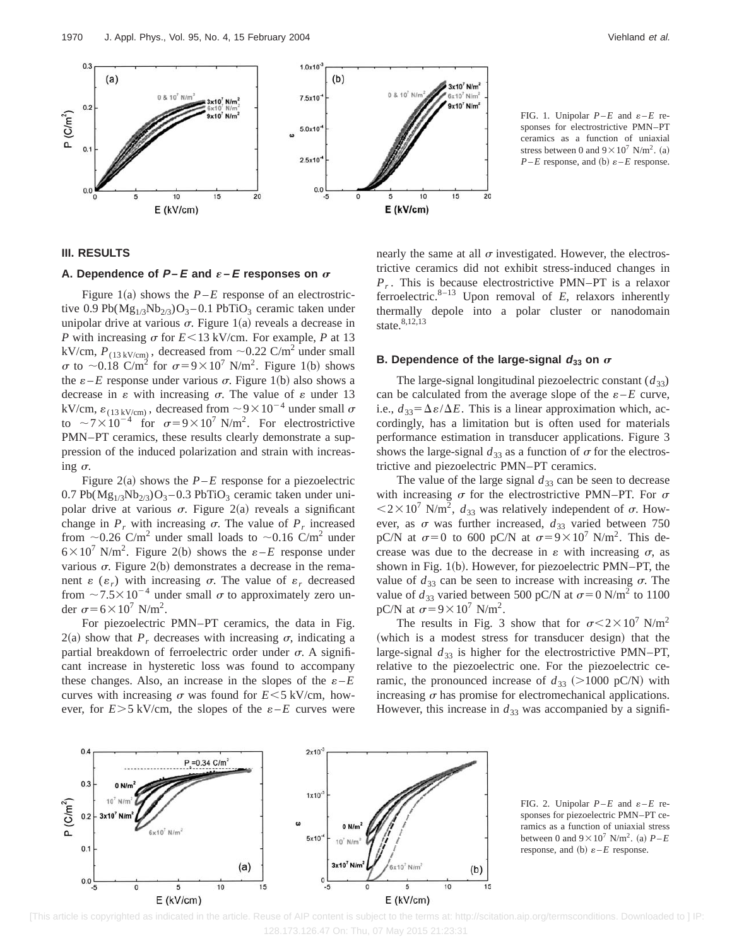

FIG. 1. Unipolar  $P-E$  and  $\varepsilon-E$  responses for electrostrictive PMN–PT

ceramics as a function of uniaxial stress between 0 and  $9 \times 10^7$  N/m<sup>2</sup>. (a)  $P$ –*E* response, and (b)  $\varepsilon$ –*E* response.

## **III. RESULTS**

## A. Dependence of  $P$ **–** $E$  and  $\varepsilon$ **–** $E$  responses on  $\sigma$

Figure 1(a) shows the  $P$ – $E$  response of an electrostrictive 0.9 Pb( $Mg_{1/3}Nb_{2/3}$ )O<sub>3</sub> – 0.1 PbTiO<sub>3</sub> ceramic taken under unipolar drive at various  $\sigma$ . Figure 1(a) reveals a decrease in *P* with increasing  $\sigma$  for  $E \le 13$  kV/cm. For example, *P* at 13 kV/cm,  $P_{(13 \text{ kV/cm})}$ , decreased from  $\sim 0.22 \text{ C/m}^2$  under small  $\sigma$  to ~0.18 C/m<sup>2</sup> for  $\sigma = 9 \times 10^7$  N/m<sup>2</sup>. Figure 1(b) shows the  $\varepsilon$ –*E* response under various  $\sigma$ . Figure 1(b) also shows a decrease in  $\varepsilon$  with increasing  $\sigma$ . The value of  $\varepsilon$  under 13 kV/cm,  $\varepsilon_{(13 \text{ kV/cm})}$ , decreased from  $\sim 9 \times 10^{-4}$  under small  $\sigma$ to  $\sim$  7 × 10<sup>-4</sup> for  $\sigma$ =9 × 10<sup>7</sup> N/m<sup>2</sup>. For electrostrictive PMN–PT ceramics, these results clearly demonstrate a suppression of the induced polarization and strain with increasing  $\sigma$ .

Figure 2(a) shows the  $P$ –*E* response for a piezoelectric  $0.7 Pb(Mg_{1/3}Nb_{2/3})O_3 - 0.3 PbTiO_3$  ceramic taken under unipolar drive at various  $\sigma$ . Figure 2(a) reveals a significant change in  $P_r$  with increasing  $\sigma$ . The value of  $P_r$  increased from  $\sim$ 0.26 C/m<sup>2</sup> under small loads to  $\sim$ 0.16 C/m<sup>2</sup> under  $6 \times 10^7$  N/m<sup>2</sup>. Figure 2(b) shows the  $\varepsilon - E$  response under various  $\sigma$ . Figure 2(b) demonstrates a decrease in the remanent  $\varepsilon$  ( $\varepsilon_r$ ) with increasing  $\sigma$ . The value of  $\varepsilon_r$  decreased from  $\sim$  7.5 $\times$ 10<sup>-4</sup> under small  $\sigma$  to approximately zero under  $\sigma$ =6×10<sup>7</sup> N/m<sup>2</sup>.

For piezoelectric PMN–PT ceramics, the data in Fig.  $2(a)$  show that  $P_r$  decreases with increasing  $\sigma$ , indicating a partial breakdown of ferroelectric order under  $\sigma$ . A significant increase in hysteretic loss was found to accompany these changes. Also, an increase in the slopes of the  $\varepsilon - E$ curves with increasing  $\sigma$  was found for  $E \le 5$  kV/cm, however, for  $E > 5$  kV/cm, the slopes of the  $\varepsilon - E$  curves were

nearly the same at all  $\sigma$  investigated. However, the electrostrictive ceramics did not exhibit stress-induced changes in *Pr* . This is because electrostrictive PMN–PT is a relaxor ferroelectric.<sup>8–13</sup> Upon removal of  $E$ , relaxors inherently thermally depole into a polar cluster or nanodomain state.<sup>8,12,13</sup>

### **B.** Dependence of the large-signal  $d_{33}$  on  $\sigma$

The large-signal longitudinal piezoelectric constant  $(d_{33})$ can be calculated from the average slope of the  $\varepsilon - E$  curve, i.e.,  $d_{33} = \Delta \varepsilon / \Delta E$ . This is a linear approximation which, accordingly, has a limitation but is often used for materials performance estimation in transducer applications. Figure 3 shows the large-signal  $d_{33}$  as a function of  $\sigma$  for the electrostrictive and piezoelectric PMN–PT ceramics.

The value of the large signal  $d_{33}$  can be seen to decrease with increasing  $\sigma$  for the electrostrictive PMN–PT. For  $\sigma$  $\langle 2 \times 10^7 \text{ N/m}^2, d_{33} \rangle$  was relatively independent of  $\sigma$ . However, as  $\sigma$  was further increased,  $d_{33}$  varied between 750 pC/N at  $\sigma=0$  to 600 pC/N at  $\sigma=9\times10^7$  N/m<sup>2</sup>. This decrease was due to the decrease in  $\varepsilon$  with increasing  $\sigma$ , as shown in Fig.  $1(b)$ . However, for piezoelectric PMN–PT, the value of  $d_{33}$  can be seen to increase with increasing  $\sigma$ . The value of  $d_{33}$  varied between 500 pC/N at  $\sigma = 0$  N/m<sup>2</sup> to 1100 pC/N at  $\sigma = 9 \times 10^7$  N/m<sup>2</sup>.

The results in Fig. 3 show that for  $\sigma < 2 \times 10^7$  N/m<sup>2</sup> (which is a modest stress for transducer design) that the large-signal  $d_{33}$  is higher for the electrostrictive PMN–PT, relative to the piezoelectric one. For the piezoelectric ceramic, the pronounced increase of  $d_{33}$  (>1000 pC/N) with increasing  $\sigma$  has promise for electromechanical applications. However, this increase in  $d_{33}$  was accompanied by a signifi-



FIG. 2. Unipolar  $P-E$  and  $\varepsilon-E$  responses for piezoelectric PMN–PT ceramics as a function of uniaxial stress between 0 and  $9 \times 10^7$  N/m<sup>2</sup>. (a)  $P$ –*E* response, and (b)  $\varepsilon$  –*E* response.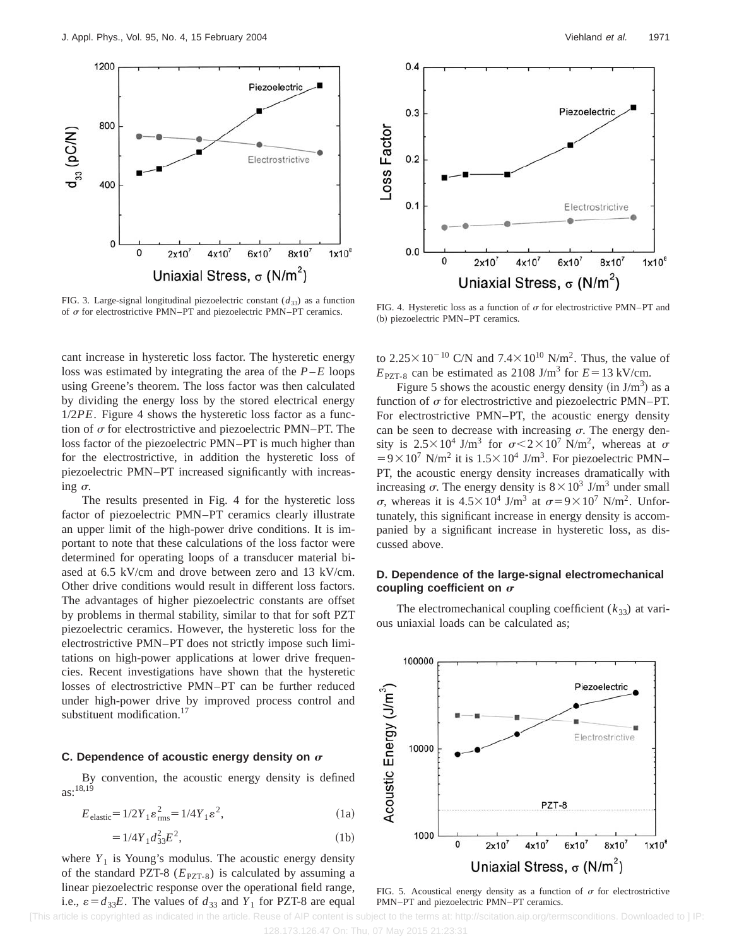

FIG. 3. Large-signal longitudinal piezoelectric constant  $(d_{33})$  as a function of  $\sigma$  for electrostrictive PMN–PT and piezoelectric PMN–PT ceramics. FIG. 4. Hysteretic loss as a function of  $\sigma$  for electrostrictive PMN–PT and piezoelectric PMN–PT ceramics.

cant increase in hysteretic loss factor. The hysteretic energy loss was estimated by integrating the area of the *P*–*E* loops using Greene's theorem. The loss factor was then calculated by dividing the energy loss by the stored electrical energy 1/2*PE*. Figure 4 shows the hysteretic loss factor as a function of  $\sigma$  for electrostrictive and piezoelectric PMN–PT. The loss factor of the piezoelectric PMN–PT is much higher than for the electrostrictive, in addition the hysteretic loss of piezoelectric PMN–PT increased significantly with increasing  $\sigma$ .

The results presented in Fig. 4 for the hysteretic loss factor of piezoelectric PMN–PT ceramics clearly illustrate an upper limit of the high-power drive conditions. It is important to note that these calculations of the loss factor were determined for operating loops of a transducer material biased at 6.5 kV/cm and drove between zero and 13 kV/cm. Other drive conditions would result in different loss factors. The advantages of higher piezoelectric constants are offset by problems in thermal stability, similar to that for soft PZT piezoelectric ceramics. However, the hysteretic loss for the electrostrictive PMN–PT does not strictly impose such limitations on high-power applications at lower drive frequencies. Recent investigations have shown that the hysteretic losses of electrostrictive PMN–PT can be further reduced under high-power drive by improved process control and substituent modification.<sup>17</sup>

#### **C. Dependence of acoustic energy density on**  $\sigma$

By convention, the acoustic energy density is defined  $as:^{18,19}$ 

$$
Eelastic = 1/2Y1 \varepsilonrms2 = 1/4Y1 \varepsilon2,
$$
 (1a)

$$
= 1/4Y_1 d_{33}^2 E^2, \tag{1b}
$$

where  $Y_1$  is Young's modulus. The acoustic energy density of the standard PZT-8  $(E_{PZT-8})$  is calculated by assuming a linear piezoelectric response over the operational field range, i.e.,  $\varepsilon = d_{33}E$ . The values of  $d_{33}$  and  $Y_1$  for PZT-8 are equal



(b) piezoelectric PMN–PT ceramics.

to  $2.25 \times 10^{-10}$  C/N and  $7.4 \times 10^{10}$  N/m<sup>2</sup>. Thus, the value of  $E_{\text{PZT-8}}$  can be estimated as 2108 J/m<sup>3</sup> for  $E=13 \text{ kV/cm}$ .

Figure 5 shows the acoustic energy density (in  $J/m<sup>3</sup>$ ) as a function of  $\sigma$  for electrostrictive and piezoelectric PMN–PT. For electrostrictive PMN–PT, the acoustic energy density can be seen to decrease with increasing  $\sigma$ . The energy density is  $2.5 \times 10^4$  J/m<sup>3</sup> for  $\sigma < 2 \times 10^7$  N/m<sup>2</sup>, whereas at  $\sigma$  $=9\times10^7$  N/m<sup>2</sup> it is  $1.5\times10^4$  J/m<sup>3</sup>. For piezoelectric PMN– PT, the acoustic energy density increases dramatically with increasing  $\sigma$ . The energy density is  $8 \times 10^3$  J/m<sup>3</sup> under small  $\sigma$ , whereas it is  $4.5 \times 10^4$  J/m<sup>3</sup> at  $\sigma = 9 \times 10^7$  N/m<sup>2</sup>. Unfortunately, this significant increase in energy density is accompanied by a significant increase in hysteretic loss, as discussed above.

### **D. Dependence of the large-signal electromechanical** coupling coefficient on  $\sigma$

The electromechanical coupling coefficient  $(k_{33})$  at various uniaxial loads can be calculated as;



FIG. 5. Acoustical energy density as a function of  $\sigma$  for electrostrictive PMN–PT and piezoelectric PMN–PT ceramics.

[This article is copyrighted as indicated in the article. Reuse of AIP content is subject to the terms at: http://scitation.aip.org/termsconditions. Downloaded to ] IP: